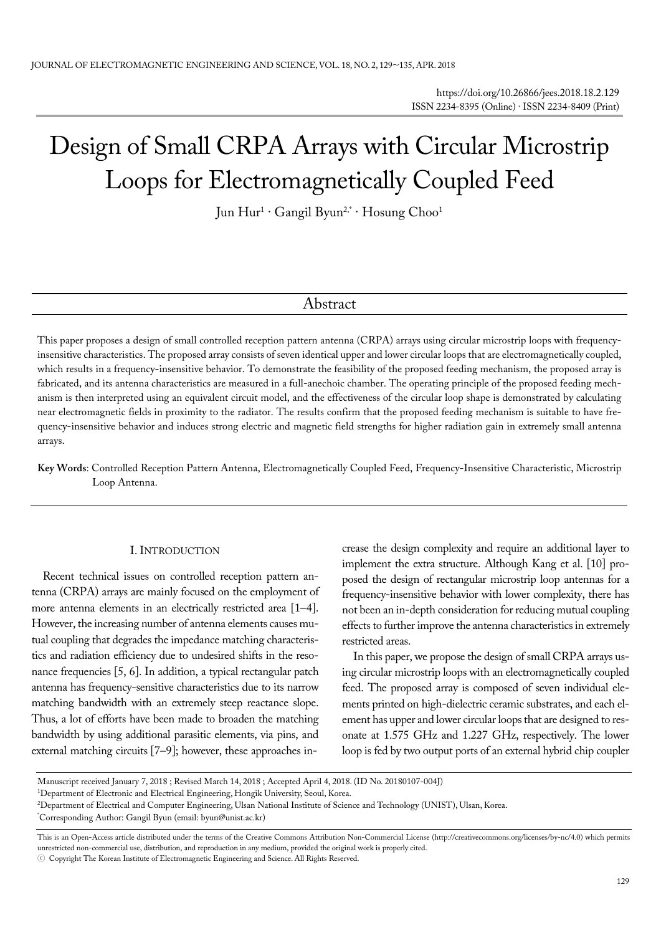# Design of Small CRPA Arrays with Circular Microstrip Loops for Electromagnetically Coupled Feed

Jun Hur1 · Gangil Byun2,\* · Hosung Choo1

## Abstract

This paper proposes a design of small controlled reception pattern antenna (CRPA) arrays using circular microstrip loops with frequencyinsensitive characteristics. The proposed array consists of seven identical upper and lower circular loops that are electromagnetically coupled, which results in a frequency-insensitive behavior. To demonstrate the feasibility of the proposed feeding mechanism, the proposed array is fabricated, and its antenna characteristics are measured in a full-anechoic chamber. The operating principle of the proposed feeding mechanism is then interpreted using an equivalent circuit model, and the effectiveness of the circular loop shape is demonstrated by calculating near electromagnetic fields in proximity to the radiator. The results confirm that the proposed feeding mechanism is suitable to have frequency-insensitive behavior and induces strong electric and magnetic field strengths for higher radiation gain in extremely small antenna arrays.

**Key Words**: Controlled Reception Pattern Antenna, Electromagnetically Coupled Feed, Frequency-Insensitive Characteristic, Microstrip Loop Antenna.

#### I. INTRODUCTION

Recent technical issues on controlled reception pattern antenna (CRPA) arrays are mainly focused on the employment of more antenna elements in an electrically restricted area [1-4]. However, the increasing number of antenna elements causes mutual coupling that degrades the impedance matching characteristics and radiation efficiency due to undesired shifts in the resonance frequencies [5, 6]. In addition, a typical rectangular patch antenna has frequency-sensitive characteristics due to its narrow matching bandwidth with an extremely steep reactance slope. Thus, a lot of efforts have been made to broaden the matching bandwidth by using additional parasitic elements, via pins, and external matching circuits  $[7-9]$ ; however, these approaches increase the design complexity and require an additional layer to implement the extra structure. Although Kang et al. [10] proposed the design of rectangular microstrip loop antennas for a frequency-insensitive behavior with lower complexity, there has not been an in-depth consideration for reducing mutual coupling effects to further improve the antenna characteristics in extremely restricted areas.

In this paper, we propose the design of small CRPA arrays using circular microstrip loops with an electromagnetically coupled feed. The proposed array is composed of seven individual elements printed on high-dielectric ceramic substrates, and each element has upper and lower circular loops that are designed to resonate at 1.575 GHz and 1.227 GHz, respectively. The lower loop is fed by two output ports of an external hybrid chip coupler

Manuscript received January 7, 2018 ; Revised March 14, 2018 ; Accepted April 4, 2018. (ID No. 20180107-004J)

<sup>&</sup>lt;sup>1</sup>Department of Electronic and Electrical Engineering, Hongik University, Seoul, Korea.

<sup>&</sup>lt;sup>2</sup>Department of Electrical and Computer Engineering, Ulsan National Institute of Science and Technology (UNIST), Ulsan, Korea.<br>\*Corresponding Author: Gangil Buyn (email: buyn@unist ac kr)

Corresponding Author: Gangil Byun (email: byun@unist.ac.kr)

This is an Open-Access article distributed under the terms of the Creative Commons Attribution Non-Commercial License (http://creativecommons.org/licenses/by-nc/4.0) which permits unrestricted non-commercial use, distribution, and reproduction in any medium, provided the original work is properly cited.

<sup>ⓒ</sup> Copyright The Korean Institute of Electromagnetic Engineering and Science. All Rights Reserved.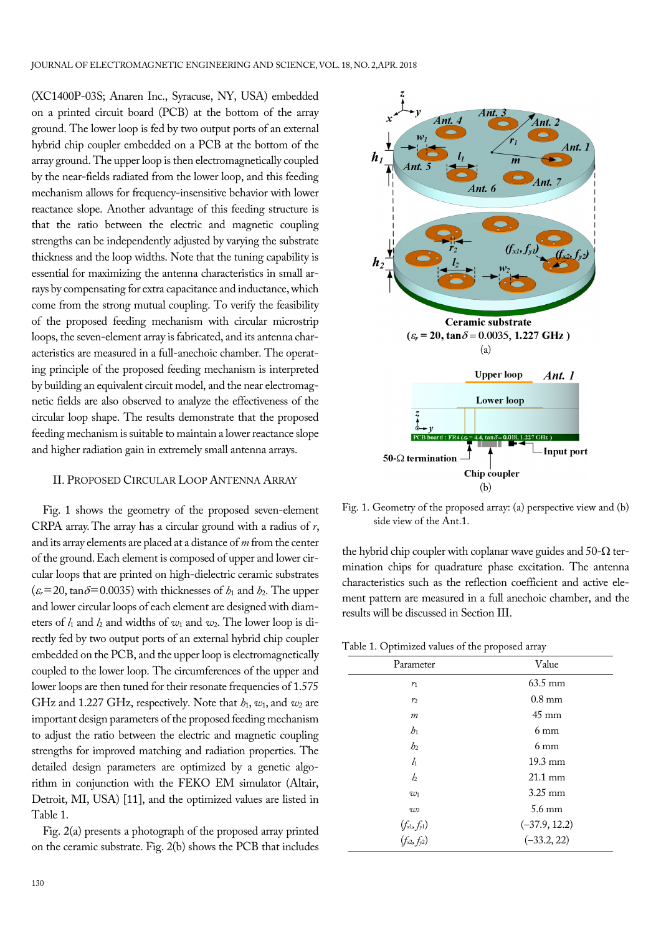(XC1400P-03S; Anaren Inc., Syracuse, NY, USA) embedded on a printed circuit board (PCB) at the bottom of the array ground. The lower loop is fed by two output ports of an external hybrid chip coupler embedded on a PCB at the bottom of the array ground. The upper loop is then electromagnetically coupled by the near-fields radiated from the lower loop, and this feeding mechanism allows for frequency-insensitive behavior with lower reactance slope. Another advantage of this feeding structure is that the ratio between the electric and magnetic coupling strengths can be independently adjusted by varying the substrate thickness and the loop widths. Note that the tuning capability is essential for maximizing the antenna characteristics in small arrays by compensating for extra capacitance and inductance, which come from the strong mutual coupling. To verify the feasibility of the proposed feeding mechanism with circular microstrip loops, the seven-element array is fabricated, and its antenna characteristics are measured in a full-anechoic chamber. The operating principle of the proposed feeding mechanism is interpreted by building an equivalent circuit model, and the near electromagnetic fields are also observed to analyze the effectiveness of the circular loop shape. The results demonstrate that the proposed feeding mechanism is suitable to maintain a lower reactance slope and higher radiation gain in extremely small antenna arrays.

#### II. PROPOSED CIRCULAR LOOP ANTENNA ARRAY

Fig. 1 shows the geometry of the proposed seven-element CRPA array. The array has a circular ground with a radius of *r*, and its array elements are placed at a distance of *m* from the center of the ground. Each element is composed of upper and lower circular loops that are printed on high-dielectric ceramic substrates  $(\varepsilon_r=20, \tan\delta=0.0035)$  with thicknesses of  $h_1$  and  $h_2$ . The upper and lower circular loops of each element are designed with diameters of *l*1 and *l*2 and widths of *w*1 and *w*2. The lower loop is directly fed by two output ports of an external hybrid chip coupler embedded on the PCB, and the upper loop is electromagnetically coupled to the lower loop. The circumferences of the upper and lower loops are then tuned for their resonate frequencies of 1.575 GHz and 1.227 GHz, respectively. Note that *h*1, *w*1, and *w*2 are important design parameters of the proposed feeding mechanism to adjust the ratio between the electric and magnetic coupling strengths for improved matching and radiation properties. The detailed design parameters are optimized by a genetic algorithm in conjunction with the FEKO EM simulator (Altair, Detroit, MI, USA) [11], and the optimized values are listed in Table 1.

Fig. 2(a) presents a photograph of the proposed array printed on the ceramic substrate. Fig. 2(b) shows the PCB that includes



Fig. 1. Geometry of the proposed array: (a) perspective view and (b) side view of the Ant.1.

the hybrid chip coupler with coplanar wave guides and  $50-\Omega$  termination chips for quadrature phase excitation. The antenna characteristics such as the reflection coefficient and active element pattern are measured in a full anechoic chamber, and the results will be discussed in Section III.

Table 1. Optimized values of the proposed array

| Parameter                                | Value             |
|------------------------------------------|-------------------|
| $r_1$                                    | $63.5 \text{ mm}$ |
| r <sub>2</sub>                           | $0.8$ mm          |
| $\boldsymbol{m}$                         | $45 \text{ mm}$   |
| h <sub>1</sub>                           | $6 \text{ mm}$    |
| h <sub>2</sub>                           | $6 \text{ mm}$    |
| $l_1$                                    | $19.3 \text{ mm}$ |
| l <sub>2</sub>                           | $21.1 \text{ mm}$ |
| $w_1$                                    | $3.25$ mm         |
| $w_2$                                    | $5.6 \text{ mm}$  |
|                                          | $(-37.9, 12.2)$   |
| $(f_{x1}, f_{y1})$<br>$(f_{x2}, f_{y2})$ | $(-33.2, 22)$     |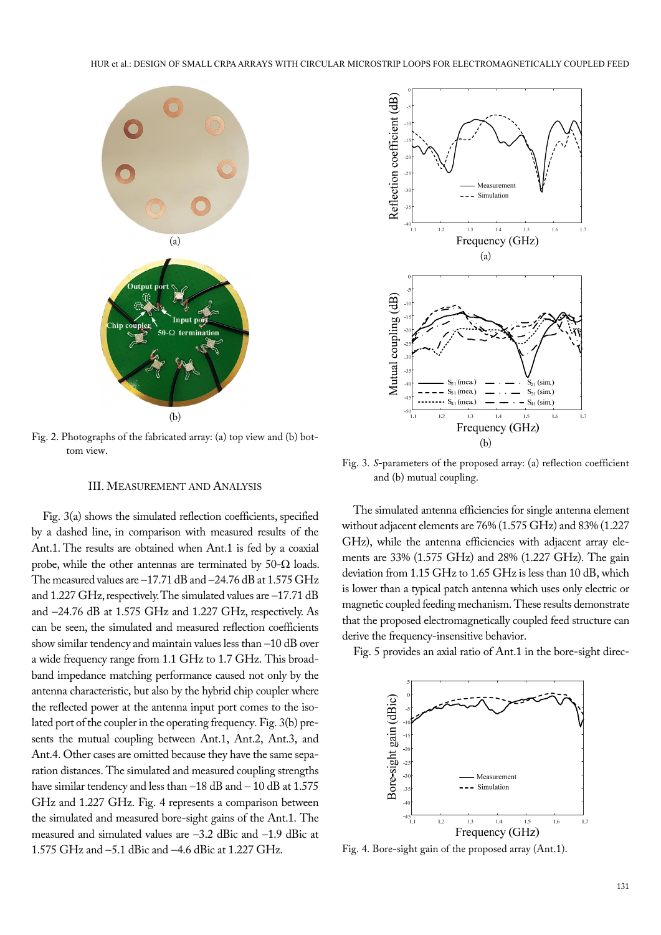

Fig. 2. Photographs of the fabricated array: (a) top view and (b) bottom view.

#### III. MEASUREMENT AND ANALYSIS

Fig. 3(a) shows the simulated reflection coefficients, specified by a dashed line, in comparison with measured results of the Ant.1. The results are obtained when Ant.1 is fed by a coaxial probe, while the other antennas are terminated by 50- $\Omega$  loads. The measured values are  $-17.71$  dB and  $-24.76$  dB at  $1.575$  GHz and 1.227 GHz, respectively. The simulated values are  $-17.71$  dB and 24.76 dB at 1.575 GHz and 1.227 GHz, respectively. As can be seen, the simulated and measured reflection coefficients show similar tendency and maintain values less than  $-10$  dB over a wide frequency range from 1.1 GHz to 1.7 GHz. This broadband impedance matching performance caused not only by the antenna characteristic, but also by the hybrid chip coupler where the reflected power at the antenna input port comes to the isolated port of the coupler in the operating frequency. Fig. 3(b) presents the mutual coupling between Ant.1, Ant.2, Ant.3, and Ant.4. Other cases are omitted because they have the same separation distances. The simulated and measured coupling strengths have similar tendency and less than  $-18$  dB and  $-10$  dB at  $1.575$ GHz and 1.227 GHz. Fig. 4 represents a comparison between the simulated and measured bore-sight gains of the Ant.1. The measured and simulated values are  $-3.2$  dBic and  $-1.9$  dBic at 1.575 GHz and  $-5.1$  dBic and  $-4.6$  dBic at 1.227 GHz.



Fig. 3. *S*-parameters of the proposed array: (a) reflection coefficient and (b) mutual coupling.

The simulated antenna efficiencies for single antenna element without adjacent elements are 76% (1.575 GHz) and 83% (1.227 GHz), while the antenna efficiencies with adjacent array elements are 33% (1.575 GHz) and 28% (1.227 GHz). The gain deviation from 1.15 GHz to 1.65 GHz is less than 10 dB, which is lower than a typical patch antenna which uses only electric or magnetic coupled feeding mechanism. These results demonstrate that the proposed electromagnetically coupled feed structure can derive the frequency-insensitive behavior.

Fig. 5 provides an axial ratio of Ant.1 in the bore-sight direc-



Fig. 4. Bore-sight gain of the proposed array (Ant.1).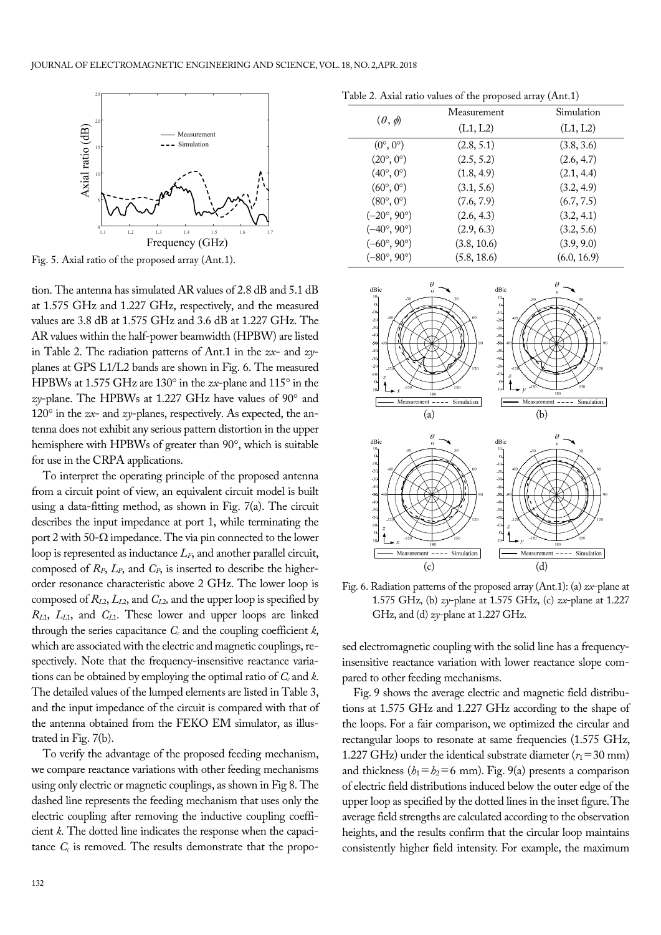

Fig. 5. Axial ratio of the proposed array (Ant.1).

tion. The antenna has simulated AR values of 2.8 dB and 5.1 dB at 1.575 GHz and 1.227 GHz, respectively, and the measured values are 3.8 dB at 1.575 GHz and 3.6 dB at 1.227 GHz. The AR values within the half-power beamwidth (HPBW) are listed in Table 2. The radiation patterns of Ant.1 in the *zx*- and *zy*planes at GPS L1/L2 bands are shown in Fig. 6. The measured HPBWs at 1.575 GHz are 130° in the *zx*-plane and 115° in the *zy*-plane. The HPBWs at 1.227 GHz have values of 90° and  $120^\circ$  in the *zx*- and *zy*-planes, respectively. As expected, the antenna does not exhibit any serious pattern distortion in the upper hemisphere with HPBWs of greater than 90°, which is suitable for use in the CRPA applications.

To interpret the operating principle of the proposed antenna from a circuit point of view, an equivalent circuit model is built using a data-fitting method, as shown in Fig. 7(a). The circuit describes the input impedance at port 1, while terminating the port 2 with 50- $\Omega$  impedance. The via pin connected to the lower loop is represented as inductance  $L_F$ , and another parallel circuit, composed of  $R_P$ ,  $L_P$ , and  $C_P$ , is inserted to describe the higherorder resonance characteristic above 2 GHz. The lower loop is composed of *RL*2, *LL*2, and *CL*2*,* and the upper loop is specified by *RL*1, *LL*1, and *CL*1. These lower and upper loops are linked through the series capacitance  $C_c$  and the coupling coefficient  $k$ , which are associated with the electric and magnetic couplings, respectively. Note that the frequency-insensitive reactance variations can be obtained by employing the optimal ratio of *Cc* and *k*. The detailed values of the lumped elements are listed in Table 3, and the input impedance of the circuit is compared with that of the antenna obtained from the FEKO EM simulator, as illustrated in Fig. 7(b).

To verify the advantage of the proposed feeding mechanism, we compare reactance variations with other feeding mechanisms using only electric or magnetic couplings, as shown in Fig 8. The dashed line represents the feeding mechanism that uses only the electric coupling after removing the inductive coupling coefficient *k*. The dotted line indicates the response when the capacitance  $C_c$  is removed. The results demonstrate that the propo-

 $(\theta, \phi)$ Measurement (L1, L2) Simulation (L1, L2)  $(0^{\circ}, 0^{\circ})$  (2.8, 5.1) (3.8, 3.6)  $(20^{\circ}, 0^{\circ})$   $(2.5, 5.2)$   $(2.6, 4.7)$  $(40^{\circ}, 0^{\circ})$  (1.8, 4.9) (2.1, 4.4)  $(60^{\circ}, 0^{\circ})$   $(3.1, 5.6)$   $(3.2, 4.9)$  $(80^{\circ}, 0^{\circ})$  (7.6, 7.9) (6.7, 7.5)  $(-20^{\circ}, 90^{\circ})$  (2.6, 4.3) (3.2, 4.1)  $(-40^{\circ}, 90^{\circ})$  (2.9, 6.3) (3.2, 5.6)  $(-60^{\circ}, 90^{\circ})$  (3.8, 10.6) (3.9, 9.0)  $(-80^{\circ}, 90^{\circ})$  (5.8, 18.6) (6.0, 16.9)

Table 2. Axial ratio values of the proposed array (Ant.1)



Fig. 6. Radiation patterns of the proposed array (Ant.1): (a) *zx*-plane at 1.575 GHz, (b) *zy*-plane at 1.575 GHz, (c) *zx*-plane at 1.227 GHz, and (d) *zy*-plane at 1.227 GHz.

sed electromagnetic coupling with the solid line has a frequencyinsensitive reactance variation with lower reactance slope compared to other feeding mechanisms.

Fig. 9 shows the average electric and magnetic field distributions at 1.575 GHz and 1.227 GHz according to the shape of the loops. For a fair comparison, we optimized the circular and rectangular loops to resonate at same frequencies (1.575 GHz, 1.227 GHz) under the identical substrate diameter  $(r_1=30 \text{ mm})$ and thickness  $(h_1 = h_2 = 6$  mm). Fig. 9(a) presents a comparison of electric field distributions induced below the outer edge of the upper loop as specified by the dotted lines in the inset figure. The average field strengths are calculated according to the observation heights, and the results confirm that the circular loop maintains consistently higher field intensity. For example, the maximum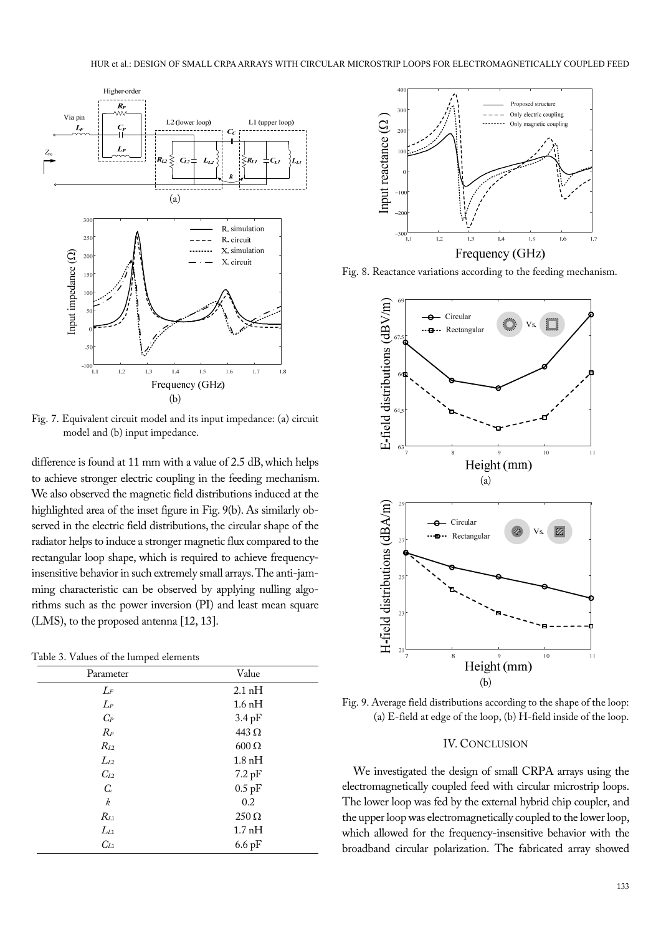

Fig. 7. Equivalent circuit model and its input impedance: (a) circuit model and (b) input impedance.

difference is found at 11 mm with a value of 2.5 dB, which helps to achieve stronger electric coupling in the feeding mechanism. We also observed the magnetic field distributions induced at the highlighted area of the inset figure in Fig. 9(b). As similarly observed in the electric field distributions, the circular shape of the radiator helps to induce a stronger magnetic flux compared to the rectangular loop shape, which is required to achieve frequencyinsensitive behavior in such extremely small arrays. The anti-jamming characteristic can be observed by applying nulling algorithms such as the power inversion (PI) and least mean square (LMS), to the proposed antenna [12, 13].

Table 3. Values of the lumped elements

| Parameter | Value               |
|-----------|---------------------|
| $L_{\!F}$ | $2.1\,\mathrm{nH}$  |
| $L_P$     | $1.6\,\mathrm{nH}$  |
| $C_P$     | $3.4 \,\mathrm{pF}$ |
| $R_P$     | 443 $\Omega$        |
| $R_{L2}$  | $600 \Omega$        |
| $L_{L2}$  | $1.8\,\mathrm{nH}$  |
| $C_{L2}$  | $7.2\,\mathrm{pF}$  |
| $C_{c}$   | $0.5$ pF            |
| k         | 0.2                 |
| $R_{L1}$  | $250 \Omega$        |
| $L_{L1}$  | 1.7 <sub>nH</sub>   |
| $C_{L1}$  | $6.6\,\mathrm{pF}$  |



Fig. 8. Reactance variations according to the feeding mechanism.



Fig. 9. Average field distributions according to the shape of the loop: (a) E-field at edge of the loop, (b) H-field inside of the loop.

#### IV. CONCLUSION

We investigated the design of small CRPA arrays using the electromagnetically coupled feed with circular microstrip loops. The lower loop was fed by the external hybrid chip coupler, and the upper loop was electromagnetically coupled to the lower loop, which allowed for the frequency-insensitive behavior with the broadband circular polarization. The fabricated array showed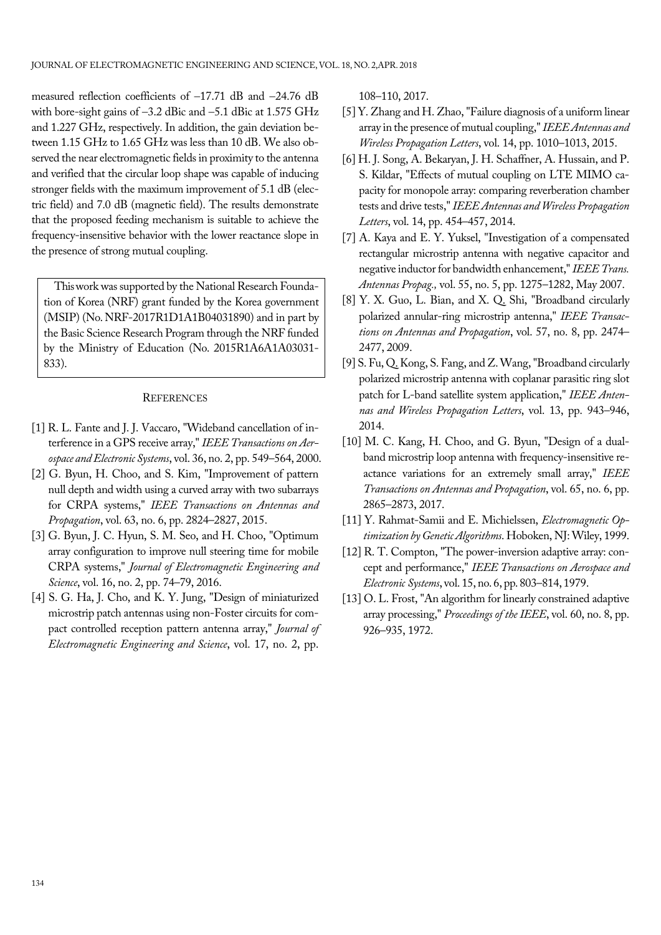measured reflection coefficients of  $-17.71$  dB and  $-24.76$  dB with bore-sight gains of  $-3.2$  dBic and  $-5.1$  dBic at 1.575 GHz and 1.227 GHz, respectively. In addition, the gain deviation between 1.15 GHz to 1.65 GHz was less than 10 dB. We also observed the near electromagnetic fields in proximity to the antenna and verified that the circular loop shape was capable of inducing stronger fields with the maximum improvement of 5.1 dB (electric field) and 7.0 dB (magnetic field). The results demonstrate that the proposed feeding mechanism is suitable to achieve the frequency-insensitive behavior with the lower reactance slope in the presence of strong mutual coupling.

This work was supported by the National Research Foundation of Korea (NRF) grant funded by the Korea government (MSIP) (No. NRF-2017R1D1A1B04031890) and in part by the Basic Science Research Program through the NRF funded by the Ministry of Education (No. 2015R1A6A1A03031- 833).

#### **REFERENCES**

- [1] R. L. Fante and J. J. Vaccaro, "Wideband cancellation of interference in a GPS receive array," *IEEE Transactions on Aerospace and Electronic Systems*, vol. 36, no. 2, pp. 549–564, 2000.
- [2] G. Byun, H. Choo, and S. Kim, "Improvement of pattern null depth and width using a curved array with two subarrays for CRPA systems," *IEEE Transactions on Antennas and Propagation*, vol. 63, no. 6, pp. 2824–2827, 2015.
- [3] G. Byun, J. C. Hyun, S. M. Seo, and H. Choo, "Optimum array configuration to improve null steering time for mobile CRPA systems," *Journal of Electromagnetic Engineering and Science*, vol. 16, no. 2, pp. 74–79, 2016.
- [4] S. G. Ha, J. Cho, and K. Y. Jung, "Design of miniaturized microstrip patch antennas using non-Foster circuits for compact controlled reception pattern antenna array," *Journal of Electromagnetic Engineering and Science*, vol. 17, no. 2, pp.

108–110, 2017.

- [5] Y. Zhang and H. Zhao, "Failure diagnosis of a uniform linear array in the presence of mutual coupling," *IEEE Antennas and Wireless Propagation Letters*, vol. 14, pp. 1010–1013, 2015.
- [6] H. J. Song, A. Bekaryan, J. H. Schaffner, A. Hussain, and P. S. Kildar, "Effects of mutual coupling on LTE MIMO capacity for monopole array: comparing reverberation chamber tests and drive tests," *IEEE Antennas and Wireless Propagation Letters*, vol. 14, pp. 454–457, 2014.
- [7] A. Kaya and E. Y. Yuksel, "Investigation of a compensated rectangular microstrip antenna with negative capacitor and negative inductor for bandwidth enhancement," *IEEE Trans. Antennas Propag.,* vol. 55, no. 5, pp. 1275–1282, May 2007.
- [8] Y. X. Guo, L. Bian, and X. Q. Shi, "Broadband circularly polarized annular-ring microstrip antenna," *IEEE Transactions on Antennas and Propagation*, vol. 57, no. 8, pp. 2474– 2477, 2009.
- [9] S. Fu, Q. Kong, S. Fang, and Z. Wang, "Broadband circularly polarized microstrip antenna with coplanar parasitic ring slot patch for L-band satellite system application," *IEEE Antennas and Wireless Propagation Letters*, vol. 13, pp. 943–946, 2014.
- [10] M. C. Kang, H. Choo, and G. Byun, "Design of a dualband microstrip loop antenna with frequency-insensitive reactance variations for an extremely small array," *IEEE Transactions on Antennas and Propagation*, vol. 65, no. 6, pp. 2865–2873, 2017.
- [11] Y. Rahmat-Samii and E. Michielssen, *Electromagnetic Optimization by Genetic Algorithms*. Hoboken, NJ: Wiley, 1999.
- [12] R. T. Compton, "The power-inversion adaptive array: concept and performance," *IEEE Transactions on Aerospace and Electronic Systems*, vol. 15, no. 6, pp. 803–814, 1979.
- [13] O. L. Frost, "An algorithm for linearly constrained adaptive array processing," *Proceedings of the IEEE*, vol. 60, no. 8, pp. 926–935, 1972.